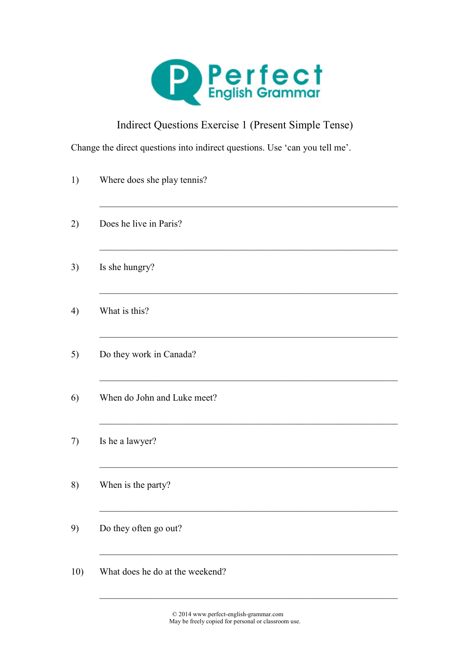

## Indirect Questions Exercise 1 (Present Simple Tense)

Change the direct questions into indirect questions. Use 'can you tell me'.

| 1)  | Where does she play tennis?     |
|-----|---------------------------------|
| 2)  | Does he live in Paris?          |
| 3)  | Is she hungry?                  |
| 4)  | What is this?                   |
| 5)  | Do they work in Canada?         |
| 6)  | When do John and Luke meet?     |
| 7)  | Is he a lawyer?                 |
| 8)  | When is the party?              |
| 9)  | Do they often go out?           |
| 10) | What does he do at the weekend? |

© 2014 www.perfect-english-grammar.com May be freely copied for personal or classroom use.

 $\mathcal{L}_\text{max} = \frac{1}{2} \sum_{i=1}^{n} \frac{1}{2} \sum_{i=1}^{n} \frac{1}{2} \sum_{i=1}^{n} \frac{1}{2} \sum_{i=1}^{n} \frac{1}{2} \sum_{i=1}^{n} \frac{1}{2} \sum_{i=1}^{n} \frac{1}{2} \sum_{i=1}^{n} \frac{1}{2} \sum_{i=1}^{n} \frac{1}{2} \sum_{i=1}^{n} \frac{1}{2} \sum_{i=1}^{n} \frac{1}{2} \sum_{i=1}^{n} \frac{1}{2} \sum_{i=1}^{n} \frac{1$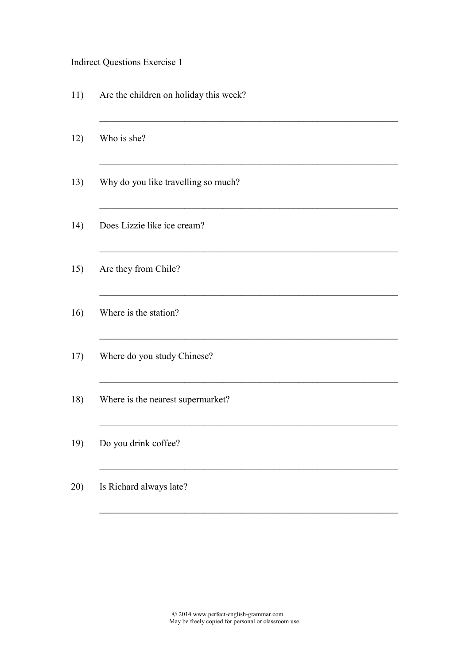## Indirect Questions Exercise 1

11) Are the children on holiday this week?

 $\mathcal{L}_\text{max} = \frac{1}{2} \sum_{i=1}^{n} \frac{1}{2} \sum_{i=1}^{n} \frac{1}{2} \sum_{i=1}^{n} \frac{1}{2} \sum_{i=1}^{n} \frac{1}{2} \sum_{i=1}^{n} \frac{1}{2} \sum_{i=1}^{n} \frac{1}{2} \sum_{i=1}^{n} \frac{1}{2} \sum_{i=1}^{n} \frac{1}{2} \sum_{i=1}^{n} \frac{1}{2} \sum_{i=1}^{n} \frac{1}{2} \sum_{i=1}^{n} \frac{1}{2} \sum_{i=1}^{n} \frac{1$ 

 $\mathcal{L}_\text{max} = \frac{1}{2} \sum_{i=1}^{n} \frac{1}{2} \sum_{i=1}^{n} \frac{1}{2} \sum_{i=1}^{n} \frac{1}{2} \sum_{i=1}^{n} \frac{1}{2} \sum_{i=1}^{n} \frac{1}{2} \sum_{i=1}^{n} \frac{1}{2} \sum_{i=1}^{n} \frac{1}{2} \sum_{i=1}^{n} \frac{1}{2} \sum_{i=1}^{n} \frac{1}{2} \sum_{i=1}^{n} \frac{1}{2} \sum_{i=1}^{n} \frac{1}{2} \sum_{i=1}^{n} \frac{1$ 

 $\mathcal{L}_\text{max} = \frac{1}{2} \sum_{i=1}^{n} \frac{1}{2} \sum_{i=1}^{n} \frac{1}{2} \sum_{i=1}^{n} \frac{1}{2} \sum_{i=1}^{n} \frac{1}{2} \sum_{i=1}^{n} \frac{1}{2} \sum_{i=1}^{n} \frac{1}{2} \sum_{i=1}^{n} \frac{1}{2} \sum_{i=1}^{n} \frac{1}{2} \sum_{i=1}^{n} \frac{1}{2} \sum_{i=1}^{n} \frac{1}{2} \sum_{i=1}^{n} \frac{1}{2} \sum_{i=1}^{n} \frac{1$ 

 $\mathcal{L}_\text{max} = \frac{1}{2} \sum_{i=1}^{n} \frac{1}{2} \sum_{i=1}^{n} \frac{1}{2} \sum_{i=1}^{n} \frac{1}{2} \sum_{i=1}^{n} \frac{1}{2} \sum_{i=1}^{n} \frac{1}{2} \sum_{i=1}^{n} \frac{1}{2} \sum_{i=1}^{n} \frac{1}{2} \sum_{i=1}^{n} \frac{1}{2} \sum_{i=1}^{n} \frac{1}{2} \sum_{i=1}^{n} \frac{1}{2} \sum_{i=1}^{n} \frac{1}{2} \sum_{i=1}^{n} \frac{1$ 

 $\mathcal{L}_\text{max} = \frac{1}{2} \sum_{i=1}^{n} \frac{1}{2} \sum_{i=1}^{n} \frac{1}{2} \sum_{i=1}^{n} \frac{1}{2} \sum_{i=1}^{n} \frac{1}{2} \sum_{i=1}^{n} \frac{1}{2} \sum_{i=1}^{n} \frac{1}{2} \sum_{i=1}^{n} \frac{1}{2} \sum_{i=1}^{n} \frac{1}{2} \sum_{i=1}^{n} \frac{1}{2} \sum_{i=1}^{n} \frac{1}{2} \sum_{i=1}^{n} \frac{1}{2} \sum_{i=1}^{n} \frac{1$ 

 $\mathcal{L}_\text{max} = \frac{1}{2} \sum_{i=1}^{n} \frac{1}{2} \sum_{i=1}^{n} \frac{1}{2} \sum_{i=1}^{n} \frac{1}{2} \sum_{i=1}^{n} \frac{1}{2} \sum_{i=1}^{n} \frac{1}{2} \sum_{i=1}^{n} \frac{1}{2} \sum_{i=1}^{n} \frac{1}{2} \sum_{i=1}^{n} \frac{1}{2} \sum_{i=1}^{n} \frac{1}{2} \sum_{i=1}^{n} \frac{1}{2} \sum_{i=1}^{n} \frac{1}{2} \sum_{i=1}^{n} \frac{1$ 

 $\mathcal{L}_\text{max} = \frac{1}{2} \sum_{i=1}^{n} \frac{1}{2} \sum_{i=1}^{n} \frac{1}{2} \sum_{i=1}^{n} \frac{1}{2} \sum_{i=1}^{n} \frac{1}{2} \sum_{i=1}^{n} \frac{1}{2} \sum_{i=1}^{n} \frac{1}{2} \sum_{i=1}^{n} \frac{1}{2} \sum_{i=1}^{n} \frac{1}{2} \sum_{i=1}^{n} \frac{1}{2} \sum_{i=1}^{n} \frac{1}{2} \sum_{i=1}^{n} \frac{1}{2} \sum_{i=1}^{n} \frac{1$ 

 $\mathcal{L}_\text{max} = \frac{1}{2} \sum_{i=1}^{n} \frac{1}{2} \sum_{i=1}^{n} \frac{1}{2} \sum_{i=1}^{n} \frac{1}{2} \sum_{i=1}^{n} \frac{1}{2} \sum_{i=1}^{n} \frac{1}{2} \sum_{i=1}^{n} \frac{1}{2} \sum_{i=1}^{n} \frac{1}{2} \sum_{i=1}^{n} \frac{1}{2} \sum_{i=1}^{n} \frac{1}{2} \sum_{i=1}^{n} \frac{1}{2} \sum_{i=1}^{n} \frac{1}{2} \sum_{i=1}^{n} \frac{1$ 

 $\mathcal{L}_\text{max} = \frac{1}{2} \sum_{i=1}^{n} \frac{1}{2} \sum_{i=1}^{n} \frac{1}{2} \sum_{i=1}^{n} \frac{1}{2} \sum_{i=1}^{n} \frac{1}{2} \sum_{i=1}^{n} \frac{1}{2} \sum_{i=1}^{n} \frac{1}{2} \sum_{i=1}^{n} \frac{1}{2} \sum_{i=1}^{n} \frac{1}{2} \sum_{i=1}^{n} \frac{1}{2} \sum_{i=1}^{n} \frac{1}{2} \sum_{i=1}^{n} \frac{1}{2} \sum_{i=1}^{n} \frac{1$ 

 $\mathcal{L}_\text{max} = \frac{1}{2} \sum_{i=1}^{n} \frac{1}{2} \sum_{i=1}^{n} \frac{1}{2} \sum_{i=1}^{n} \frac{1}{2} \sum_{i=1}^{n} \frac{1}{2} \sum_{i=1}^{n} \frac{1}{2} \sum_{i=1}^{n} \frac{1}{2} \sum_{i=1}^{n} \frac{1}{2} \sum_{i=1}^{n} \frac{1}{2} \sum_{i=1}^{n} \frac{1}{2} \sum_{i=1}^{n} \frac{1}{2} \sum_{i=1}^{n} \frac{1}{2} \sum_{i=1}^{n} \frac{1$ 

- 12) Who is she?
- 13) Why do you like travelling so much?
- 14) Does Lizzie like ice cream?
- 15) Are they from Chile?
- 16) Where is the station?
- 17) Where do you study Chinese?
- 18) Where is the nearest supermarket?
- 19) Do you drink coffee?
- 20) Is Richard always late?